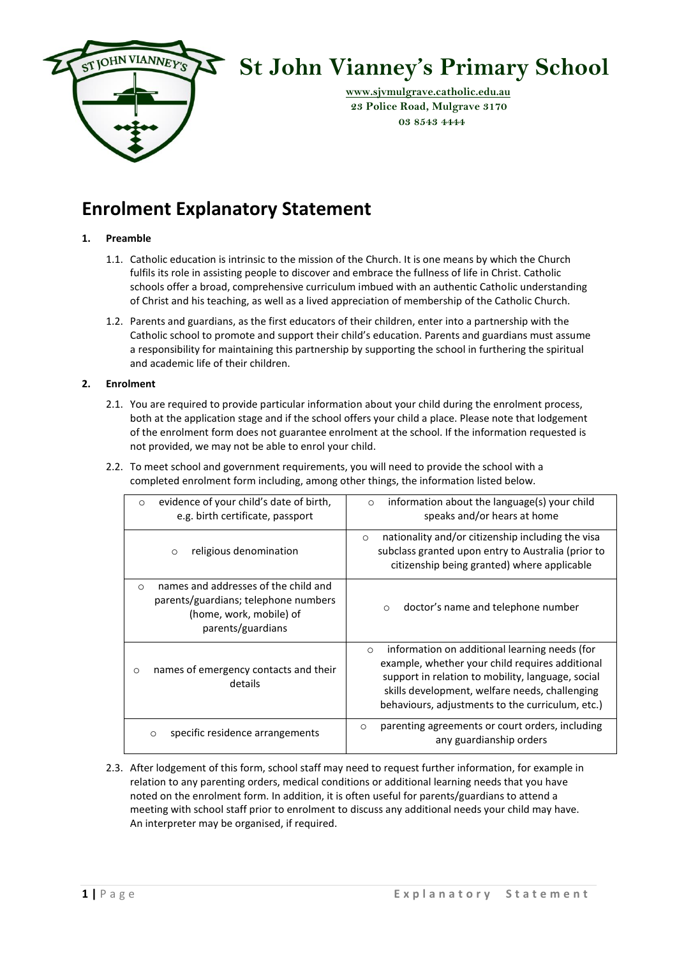

# **St John Vianney's Primary School**

 **[www.sjvmulgrave.catholic.edu.au](http://www.sjvmulgrave.catholic.edu.au/) 23 Police Road, Mulgrave 3170 03 8543 4444**

# **Enrolment Explanatory Statement**

# **1. Preamble**

- 1.1. Catholic education is intrinsic to the mission of the Church. It is one means by which the Church fulfils its role in assisting people to discover and embrace the fullness of life in Christ. Catholic schools offer a broad, comprehensive curriculum imbued with an authentic Catholic understanding of Christ and his teaching, as well as a lived appreciation of membership of the Catholic Church.
- 1.2. Parents and guardians, as the first educators of their children, enter into a partnership with the Catholic school to promote and support their child's education. Parents and guardians must assume a responsibility for maintaining this partnership by supporting the school in furthering the spiritual and academic life of their children.

## **2. Enrolment**

- 2.1. You are required to provide particular information about your child during the enrolment process, both at the application stage and if the school offers your child a place. Please note that lodgement of the enrolment form does not guarantee enrolment at the school. If the information requested is not provided, we may not be able to enrol your child.
- 2.2. To meet school and government requirements, you will need to provide the school with a completed enrolment form including, among other things, the information listed below.

| evidence of your child's date of birth,<br>$\Omega$<br>e.g. birth certificate, passport                                                  | information about the language(s) your child<br>$\circ$<br>speaks and/or hears at home                                                                                                                                                                                 |
|------------------------------------------------------------------------------------------------------------------------------------------|------------------------------------------------------------------------------------------------------------------------------------------------------------------------------------------------------------------------------------------------------------------------|
| religious denomination<br>$\circ$                                                                                                        | nationality and/or citizenship including the visa<br>$\circ$<br>subclass granted upon entry to Australia (prior to<br>citizenship being granted) where applicable                                                                                                      |
| names and addresses of the child and<br>$\Omega$<br>parents/guardians; telephone numbers<br>(home, work, mobile) of<br>parents/guardians | doctor's name and telephone number<br>$\circ$                                                                                                                                                                                                                          |
| names of emergency contacts and their<br>$\circ$<br>details                                                                              | information on additional learning needs (for<br>$\circ$<br>example, whether your child requires additional<br>support in relation to mobility, language, social<br>skills development, welfare needs, challenging<br>behaviours, adjustments to the curriculum, etc.) |
| specific residence arrangements<br>$\circ$                                                                                               | parenting agreements or court orders, including<br>$\circ$<br>any guardianship orders                                                                                                                                                                                  |

2.3. After lodgement of this form, school staff may need to request further information, for example in relation to any parenting orders, medical conditions or additional learning needs that you have noted on the enrolment form. In addition, it is often useful for parents/guardians to attend a meeting with school staff prior to enrolment to discuss any additional needs your child may have. An interpreter may be organised, if required.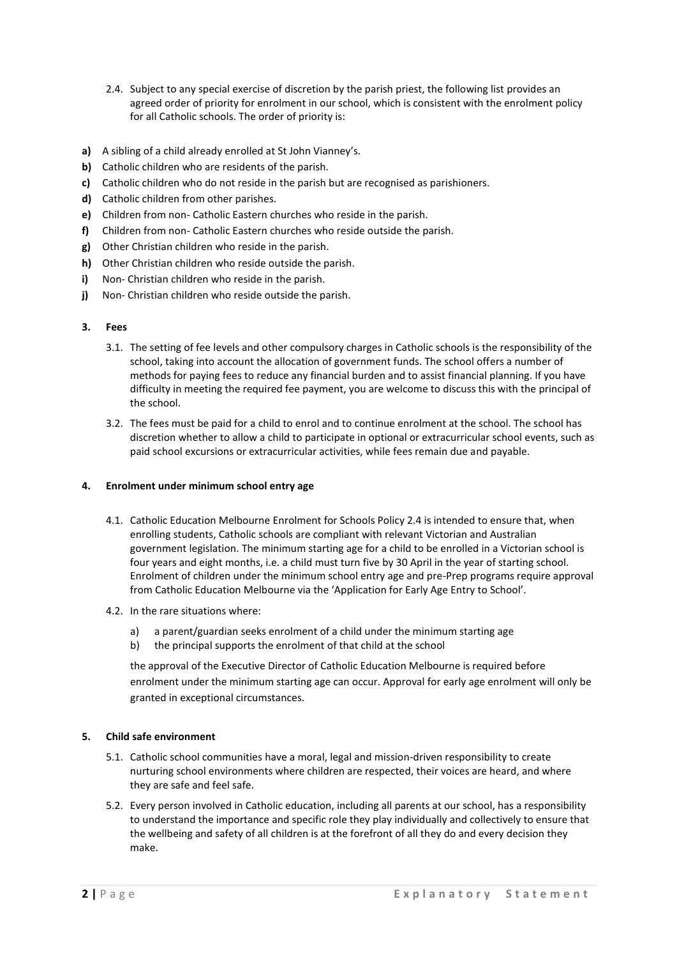- 2.4. Subject to any special exercise of discretion by the parish priest, the following list provides an agreed order of priority for enrolment in our school, which is consistent with the enrolment policy for all Catholic schools. The order of priority is:
- **a)** A sibling of a child already enrolled at St John Vianney's.
- **b)** Catholic children who are residents of the parish.
- **c)** Catholic children who do not reside in the parish but are recognised as parishioners.
- **d)** Catholic children from other parishes.
- **e)** Children from non- Catholic Eastern churches who reside in the parish.
- **f)** Children from non- Catholic Eastern churches who reside outside the parish.
- **g)** Other Christian children who reside in the parish.
- **h)** Other Christian children who reside outside the parish.
- **i)** Non- Christian children who reside in the parish.
- **j)** Non- Christian children who reside outside the parish.

## **3. Fees**

- 3.1. The setting of fee levels and other compulsory charges in Catholic schools is the responsibility of the school, taking into account the allocation of government funds. The school offers a number of methods for paying fees to reduce any financial burden and to assist financial planning. If you have difficulty in meeting the required fee payment, you are welcome to discuss this with the principal of the school.
- 3.2. The fees must be paid for a child to enrol and to continue enrolment at the school. The school has discretion whether to allow a child to participate in optional or extracurricular school events, such as paid school excursions or extracurricular activities, while fees remain due and payable.

# **4. Enrolment under minimum school entry age**

- 4.1. Catholic Education Melbourne Enrolment for Schools Policy 2.4 is intended to ensure that, when enrolling students, Catholic schools are compliant with relevant Victorian and Australian government legislation. The minimum starting age for a child to be enrolled in a Victorian school is four years and eight months, i.e. a child must turn five by 30 April in the year of starting school. Enrolment of children under the minimum school entry age and pre-Prep programs require approval from Catholic Education Melbourne via the 'Application for Early Age Entry to School'.
- 4.2. In the rare situations where:
	- a) a parent/guardian seeks enrolment of a child under the minimum starting age
	- b) the principal supports the enrolment of that child at the school

the approval of the Executive Director of Catholic Education Melbourne is required before enrolment under the minimum starting age can occur. Approval for early age enrolment will only be granted in exceptional circumstances.

# **5. Child safe environment**

- 5.1. Catholic school communities have a moral, legal and mission-driven responsibility to create nurturing school environments where children are respected, their voices are heard, and where they are safe and feel safe.
- 5.2. Every person involved in Catholic education, including all parents at our school, has a responsibility to understand the importance and specific role they play individually and collectively to ensure that the wellbeing and safety of all children is at the forefront of all they do and every decision they make.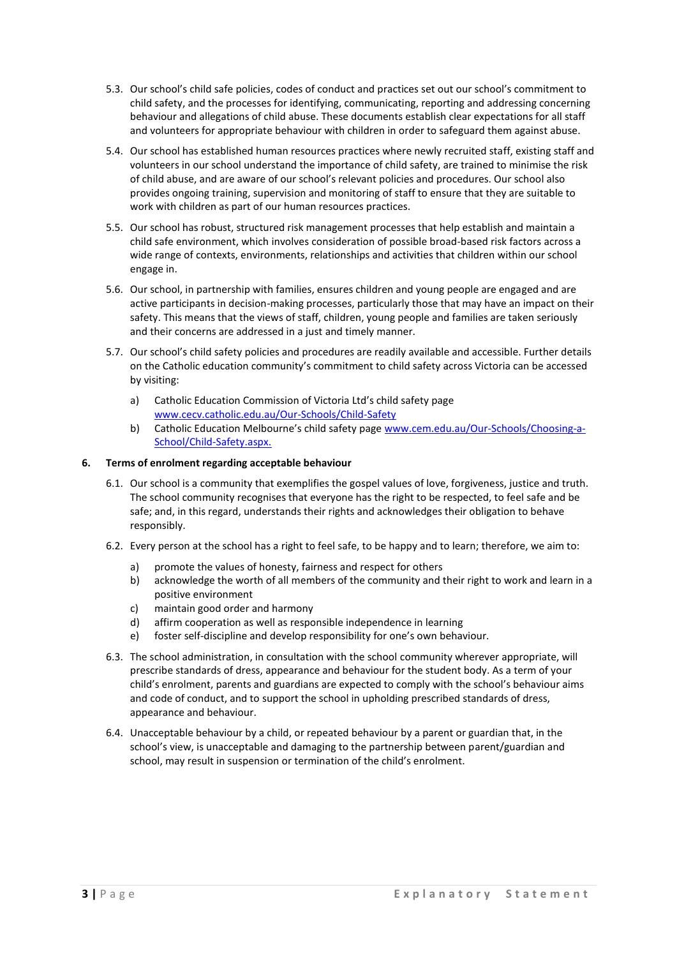- 5.3. Our school's child safe policies, codes of conduct and practices set out our school's commitment to child safety, and the processes for identifying, communicating, reporting and addressing concerning behaviour and allegations of child abuse. These documents establish clear expectations for all staff and volunteers for appropriate behaviour with children in order to safeguard them against abuse.
- 5.4. Our school has established human resources practices where newly recruited staff, existing staff and volunteers in our school understand the importance of child safety, are trained to minimise the risk of child abuse, and are aware of our school's relevant policies and procedures. Our school also provides ongoing training, supervision and monitoring of staff to ensure that they are suitable to work with children as part of our human resources practices.
- 5.5. Our school has robust, structured risk management processes that help establish and maintain a child safe environment, which involves consideration of possible broad-based risk factors across a wide range of contexts, environments, relationships and activities that children within our school engage in.
- 5.6. Our school, in partnership with families, ensures children and young people are engaged and are active participants in decision-making processes, particularly those that may have an impact on their safety. This means that the views of staff, children, young people and families are taken seriously and their concerns are addressed in a just and timely manner.
- 5.7. Our school's child safety policies and procedures are readily available and accessible. Further details on the Catholic education community's commitment to child safety across Victoria can be accessed by visiting:
	- a) Catholic Education Commission of Victoria Ltd's child safety page [www.cecv.catholic.edu.au/Our-Schools/Child-Safety](http://www.cecv.catholic.edu.au/Our-Schools/Child-Safety)
	- b) Catholic Education Melbourne's child safety page [www.cem.edu.au/Our-Schools/Choosing-a-](https://www.cem.edu.au/Our-Schools/Choosing-a-School/Child-Safety.aspx)[School/Child-Safety.aspx.](https://www.cem.edu.au/Our-Schools/Choosing-a-School/Child-Safety.aspx)

# **6. Terms of enrolment regarding acceptable behaviour**

- 6.1. Our school is a community that exemplifies the gospel values of love, forgiveness, justice and truth. The school community recognises that everyone has the right to be respected, to feel safe and be safe; and, in this regard, understands their rights and acknowledges their obligation to behave responsibly.
- 6.2. Every person at the school has a right to feel safe, to be happy and to learn; therefore, we aim to:
	- a) promote the values of honesty, fairness and respect for others
	- b) acknowledge the worth of all members of the community and their right to work and learn in a positive environment
	- c) maintain good order and harmony
	- d) affirm cooperation as well as responsible independence in learning
	- e) foster self-discipline and develop responsibility for one's own behaviour.
- 6.3. The school administration, in consultation with the school community wherever appropriate, will prescribe standards of dress, appearance and behaviour for the student body. As a term of your child's enrolment, parents and guardians are expected to comply with the school's behaviour aims and code of conduct, and to support the school in upholding prescribed standards of dress, appearance and behaviour.
- 6.4. Unacceptable behaviour by a child, or repeated behaviour by a parent or guardian that, in the school's view, is unacceptable and damaging to the partnership between parent/guardian and school, may result in suspension or termination of the child's enrolment.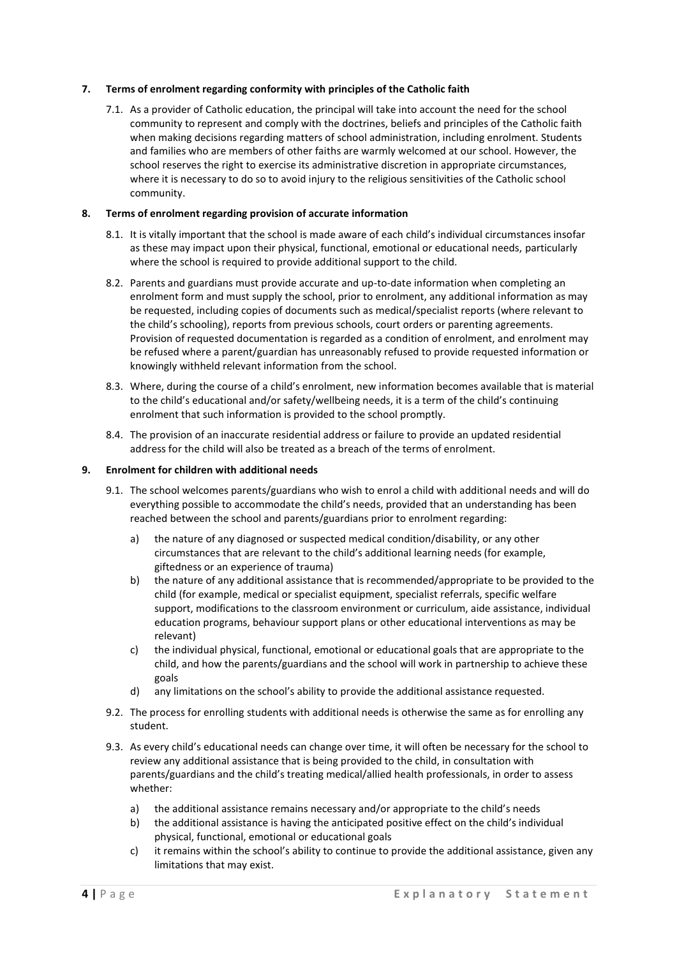# **7. Terms of enrolment regarding conformity with principles of the Catholic faith**

7.1. As a provider of Catholic education, the principal will take into account the need for the school community to represent and comply with the doctrines, beliefs and principles of the Catholic faith when making decisions regarding matters of school administration, including enrolment. Students and families who are members of other faiths are warmly welcomed at our school. However, the school reserves the right to exercise its administrative discretion in appropriate circumstances, where it is necessary to do so to avoid injury to the religious sensitivities of the Catholic school community.

#### **8. Terms of enrolment regarding provision of accurate information**

- 8.1. It is vitally important that the school is made aware of each child's individual circumstances insofar as these may impact upon their physical, functional, emotional or educational needs, particularly where the school is required to provide additional support to the child.
- 8.2. Parents and guardians must provide accurate and up-to-date information when completing an enrolment form and must supply the school, prior to enrolment, any additional information as may be requested, including copies of documents such as medical/specialist reports (where relevant to the child's schooling), reports from previous schools, court orders or parenting agreements. Provision of requested documentation is regarded as a condition of enrolment, and enrolment may be refused where a parent/guardian has unreasonably refused to provide requested information or knowingly withheld relevant information from the school.
- 8.3. Where, during the course of a child's enrolment, new information becomes available that is material to the child's educational and/or safety/wellbeing needs, it is a term of the child's continuing enrolment that such information is provided to the school promptly.
- 8.4. The provision of an inaccurate residential address or failure to provide an updated residential address for the child will also be treated as a breach of the terms of enrolment.

#### **9. Enrolment for children with additional needs**

- 9.1. The school welcomes parents/guardians who wish to enrol a child with additional needs and will do everything possible to accommodate the child's needs, provided that an understanding has been reached between the school and parents/guardians prior to enrolment regarding:
	- a) the nature of any diagnosed or suspected medical condition/disability, or any other circumstances that are relevant to the child's additional learning needs (for example, giftedness or an experience of trauma)
	- b) the nature of any additional assistance that is recommended/appropriate to be provided to the child (for example, medical or specialist equipment, specialist referrals, specific welfare support, modifications to the classroom environment or curriculum, aide assistance, individual education programs, behaviour support plans or other educational interventions as may be relevant)
	- c) the individual physical, functional, emotional or educational goals that are appropriate to the child, and how the parents/guardians and the school will work in partnership to achieve these goals
	- d) any limitations on the school's ability to provide the additional assistance requested.
- 9.2. The process for enrolling students with additional needs is otherwise the same as for enrolling any student.
- 9.3. As every child's educational needs can change over time, it will often be necessary for the school to review any additional assistance that is being provided to the child, in consultation with parents/guardians and the child's treating medical/allied health professionals, in order to assess whether:
	- a) the additional assistance remains necessary and/or appropriate to the child's needs
	- b) the additional assistance is having the anticipated positive effect on the child's individual physical, functional, emotional or educational goals
	- c) it remains within the school's ability to continue to provide the additional assistance, given any limitations that may exist.